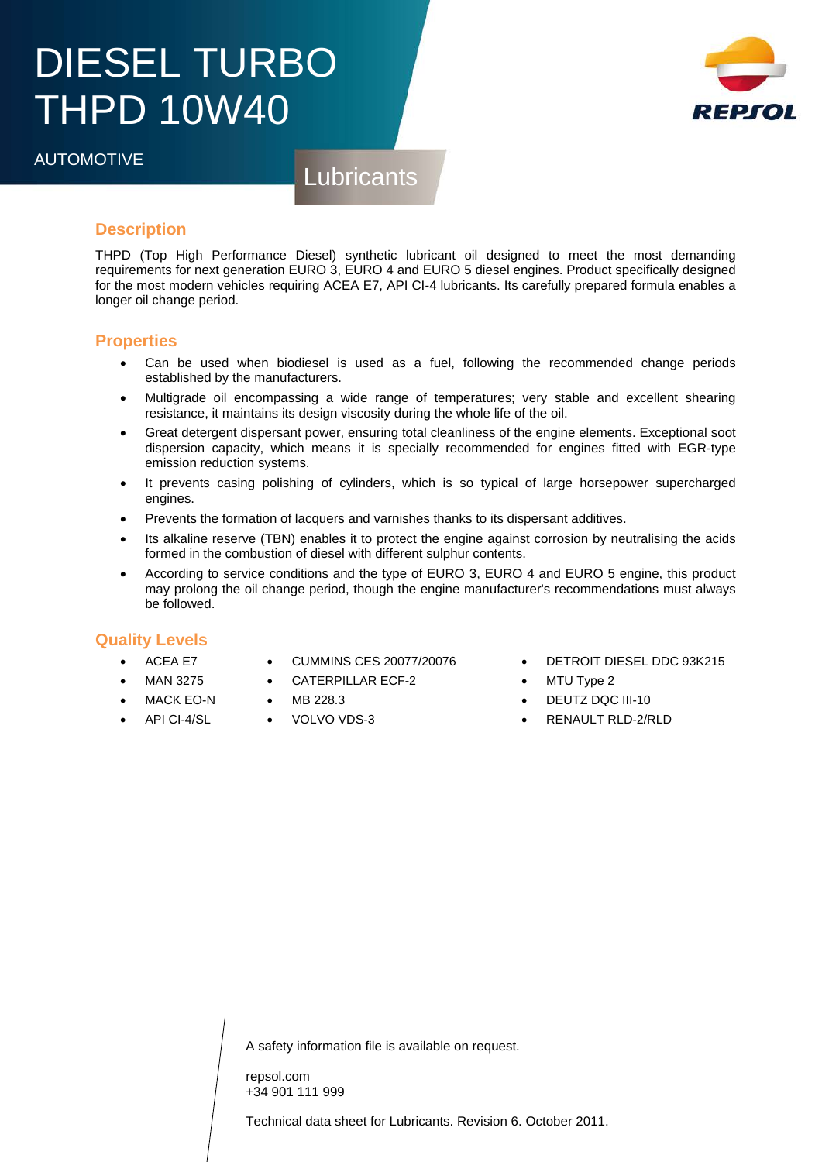## DIESEL TURBO THPD 10W40

AUTOMOTIVE

**Lubricants** 

### **Description**

THPD (Top High Performance Diesel) synthetic lubricant oil designed to meet the most demanding requirements for next generation EURO 3, EURO 4 and EURO 5 diesel engines. Product specifically designed for the most modern vehicles requiring ACEA E7, API CI-4 lubricants. Its carefully prepared formula enables a longer oil change period.

#### **Properties**

- Can be used when biodiesel is used as a fuel, following the recommended change periods established by the manufacturers.
- Multigrade oil encompassing a wide range of temperatures; very stable and excellent shearing resistance, it maintains its design viscosity during the whole life of the oil.
- Great detergent dispersant power, ensuring total cleanliness of the engine elements. Exceptional soot dispersion capacity, which means it is specially recommended for engines fitted with EGR-type emission reduction systems.
- It prevents casing polishing of cylinders, which is so typical of large horsepower supercharged engines.
- Prevents the formation of lacquers and varnishes thanks to its dispersant additives.
- Its alkaline reserve (TBN) enables it to protect the engine against corrosion by neutralising the acids formed in the combustion of diesel with different sulphur contents.
- According to service conditions and the type of EURO 3, EURO 4 and EURO 5 engine, this product may prolong the oil change period, though the engine manufacturer's recommendations must always be followed.

### **Quality Levels**

- ACEA E7
- CUMMINS CES 20077/20076
- MAN 3275
- CATERPILLAR ECF-2 • MB 228.3
- MACK EO-N • API CI-4/SL
- VOLVO VDS-3
- DETROIT DIESEL DDC 93K215
- MTU Type 2
- DEUTZ DQC III-10
- RENAULT RLD-2/RLD

A safety information file is available on request.

repsol.com +34 901 111 999

Technical data sheet for Lubricants. Revision 6. October 2011.